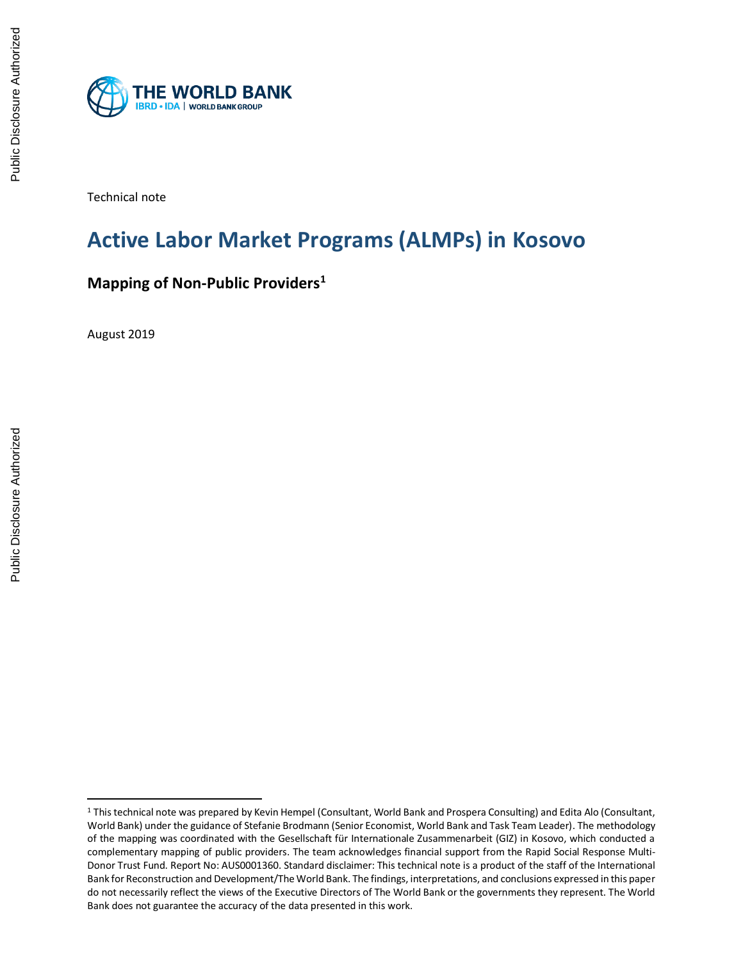

Technical note

# **Active Labor Market Programs (ALMPs) in Kosovo**

## **Mapping of Non-Public Providers<sup>1</sup>**

August 2019

 $\overline{\phantom{a}}$ 

<sup>1</sup> This technical note was prepared by Kevin Hempel (Consultant, World Bank and Prospera Consulting) and Edita Alo (Consultant, World Bank) under the guidance of Stefanie Brodmann (Senior Economist, World Bank and Task Team Leader). The methodology of the mapping was coordinated with the Gesellschaft für Internationale Zusammenarbeit (GIZ) in Kosovo, which conducted a complementary mapping of public providers. The team acknowledges financial support from the Rapid Social Response Multi-Donor Trust Fund. Report No: AUS0001360. Standard disclaimer: This technical note is a product of the staff of the International Bank for Reconstruction and Development/The World Bank. The findings, interpretations, and conclusions expressed in this paper do not necessarily reflect the views of the Executive Directors of The World Bank or the governments they represent. The World Bank does not guarantee the accuracy of the data presented in this work.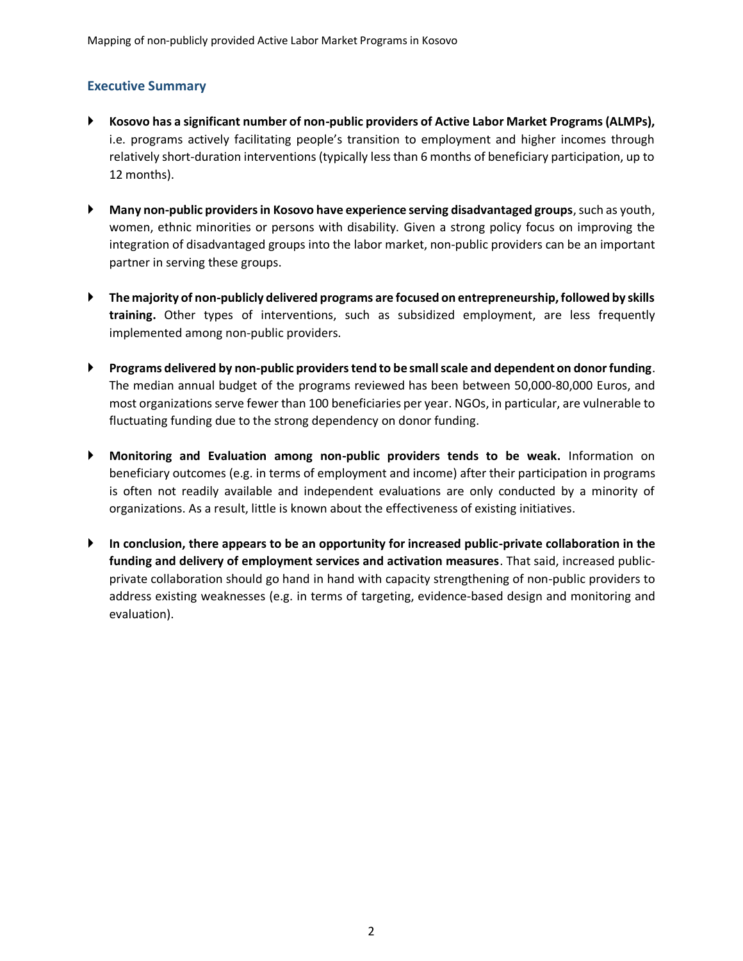## **Executive Summary**

- **Kosovo has a significant number of non-public providers of Active Labor Market Programs (ALMPs),** i.e. programs actively facilitating people's transition to employment and higher incomes through relatively short-duration interventions (typically less than 6 months of beneficiary participation, up to 12 months).
- **Many non-public providers in Kosovo have experience serving disadvantaged groups**, such as youth, women, ethnic minorities or persons with disability. Given a strong policy focus on improving the integration of disadvantaged groups into the labor market, non-public providers can be an important partner in serving these groups.
- **The majority of non-publicly delivered programs are focused on entrepreneurship, followed by skills training.** Other types of interventions, such as subsidized employment, are less frequently implemented among non-public providers.
- **Programs delivered by non-public providers tend to be small scale and dependent on donor funding**. The median annual budget of the programs reviewed has been between 50,000-80,000 Euros, and most organizations serve fewer than 100 beneficiaries per year. NGOs, in particular, are vulnerable to fluctuating funding due to the strong dependency on donor funding.
- **Monitoring and Evaluation among non-public providers tends to be weak.** Information on beneficiary outcomes (e.g. in terms of employment and income) after their participation in programs is often not readily available and independent evaluations are only conducted by a minority of organizations. As a result, little is known about the effectiveness of existing initiatives.
- **In conclusion, there appears to be an opportunity for increased public-private collaboration in the funding and delivery of employment services and activation measures**. That said, increased publicprivate collaboration should go hand in hand with capacity strengthening of non-public providers to address existing weaknesses (e.g. in terms of targeting, evidence-based design and monitoring and evaluation).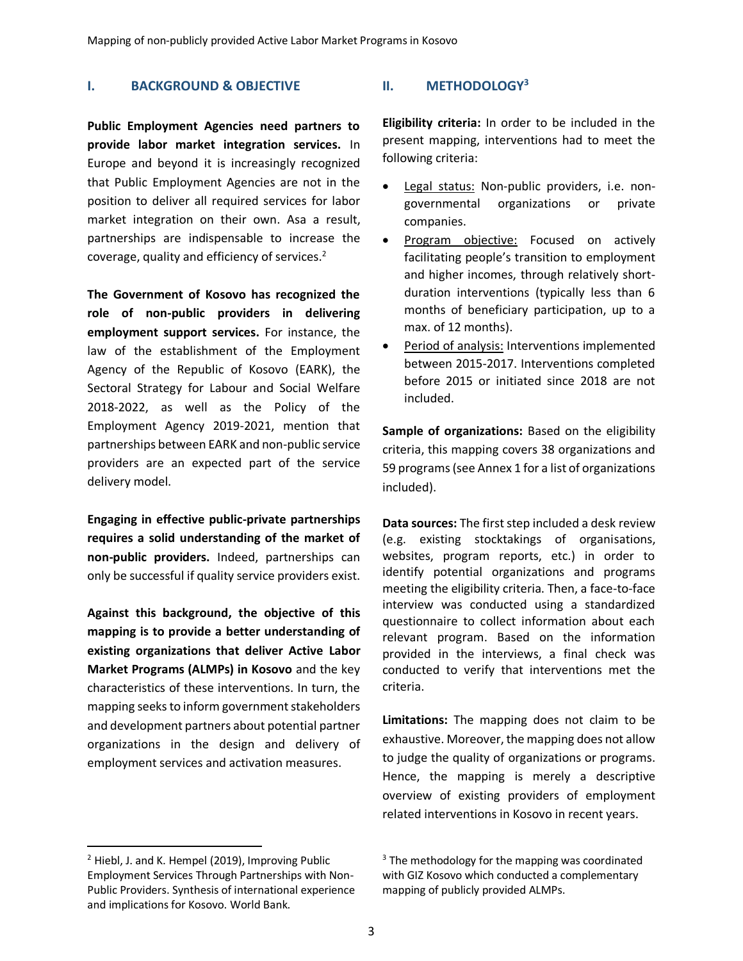## **I. BACKGROUND & OBJECTIVE**

**Public Employment Agencies need partners to provide labor market integration services.** In Europe and beyond it is increasingly recognized that Public Employment Agencies are not in the position to deliver all required services for labor market integration on their own. Asa a result, partnerships are indispensable to increase the coverage, quality and efficiency of services.<sup>2</sup>

**The Government of Kosovo has recognized the role of non-public providers in delivering employment support services.** For instance, the law of the establishment of the Employment Agency of the Republic of Kosovo (EARK), the Sectoral Strategy for Labour and Social Welfare 2018-2022, as well as the Policy of the Employment Agency 2019-2021, mention that partnerships between EARK and non-public service providers are an expected part of the service delivery model.

**Engaging in effective public-private partnerships requires a solid understanding of the market of non-public providers.** Indeed, partnerships can only be successful if quality service providers exist.

**Against this background, the objective of this mapping is to provide a better understanding of existing organizations that deliver Active Labor Market Programs (ALMPs) in Kosovo** and the key characteristics of these interventions. In turn, the mapping seeks to inform government stakeholders and development partners about potential partner organizations in the design and delivery of employment services and activation measures.

 $\overline{a}$ 

## **II. METHODOLOGY<sup>3</sup>**

**Eligibility criteria:** In order to be included in the present mapping, interventions had to meet the following criteria:

- Legal status: Non-public providers, i.e. nongovernmental organizations or private companies.
- Program objective: Focused on actively facilitating people's transition to employment and higher incomes, through relatively shortduration interventions (typically less than 6 months of beneficiary participation, up to a max. of 12 months).
- Period of analysis: Interventions implemented between 2015-2017. Interventions completed before 2015 or initiated since 2018 are not included.

**Sample of organizations:** Based on the eligibility criteria, this mapping covers 38 organizations and 59 programs(see Annex 1 for a list of organizations included).

**Data sources:** The first step included a desk review (e.g. existing stocktakings of organisations, websites, program reports, etc.) in order to identify potential organizations and programs meeting the eligibility criteria. Then, a face-to-face interview was conducted using a standardized questionnaire to collect information about each relevant program. Based on the information provided in the interviews, a final check was conducted to verify that interventions met the criteria.

**Limitations:** The mapping does not claim to be exhaustive. Moreover, the mapping does not allow to judge the quality of organizations or programs. Hence, the mapping is merely a descriptive overview of existing providers of employment related interventions in Kosovo in recent years.

<sup>&</sup>lt;sup>2</sup> Hiebl, J. and K. Hempel (2019), Improving Public Employment Services Through Partnerships with Non-Public Providers. Synthesis of international experience and implications for Kosovo. World Bank.

 $3$  The methodology for the mapping was coordinated with GIZ Kosovo which conducted a complementary mapping of publicly provided ALMPs.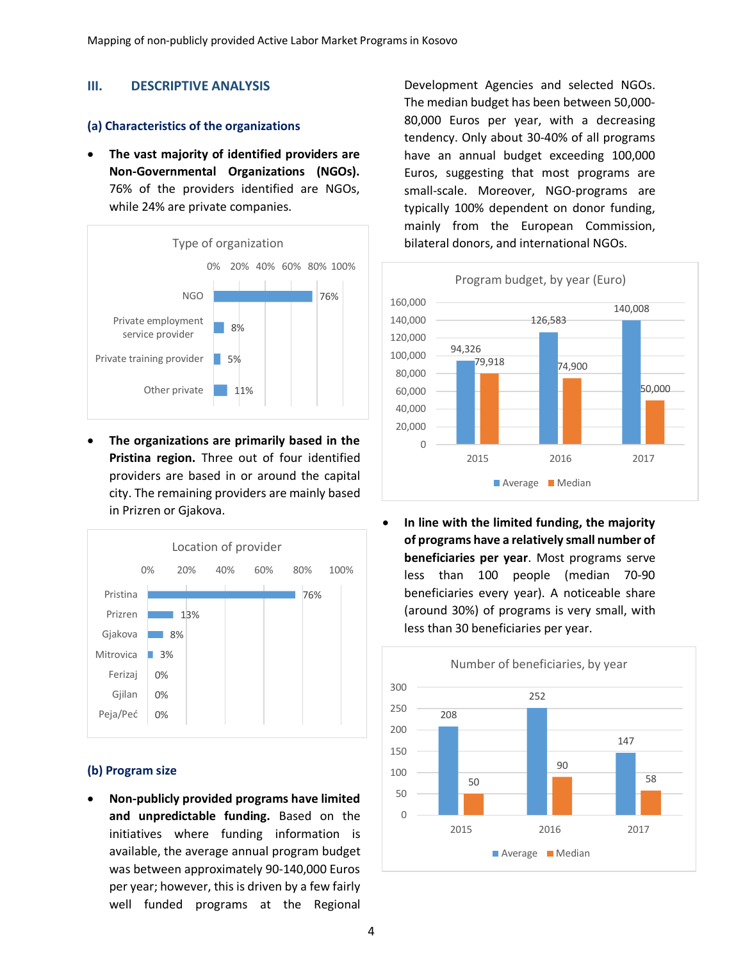## **III. DESCRIPTIVE ANALYSIS**

#### **(a) Characteristics of the organizations**

• **The vast majority of identified providers are Non-Governmental Organizations (NGOs).**  76% of the providers identified are NGOs, while 24% are private companies.



• **The organizations are primarily based in the Pristina region.** Three out of four identified providers are based in or around the capital city. The remaining providers are mainly based in Prizren or Gjakova.



#### **(b) Program size**

• **Non-publicly provided programs have limited and unpredictable funding.** Based on the initiatives where funding information is available, the average annual program budget was between approximately 90-140,000 Euros per year; however, this is driven by a few fairly well funded programs at the Regional

Development Agencies and selected NGOs. The median budget has been between 50,000- 80,000 Euros per year, with a decreasing tendency. Only about 30-40% of all programs have an annual budget exceeding 100,000 Euros, suggesting that most programs are small-scale. Moreover, NGO-programs are typically 100% dependent on donor funding, mainly from the European Commission, bilateral donors, and international NGOs.



• **In line with the limited funding, the majority of programs have a relatively small number of beneficiaries per year**. Most programs serve less than 100 people (median 70-90 beneficiaries every year). A noticeable share (around 30%) of programs is very small, with less than 30 beneficiaries per year.

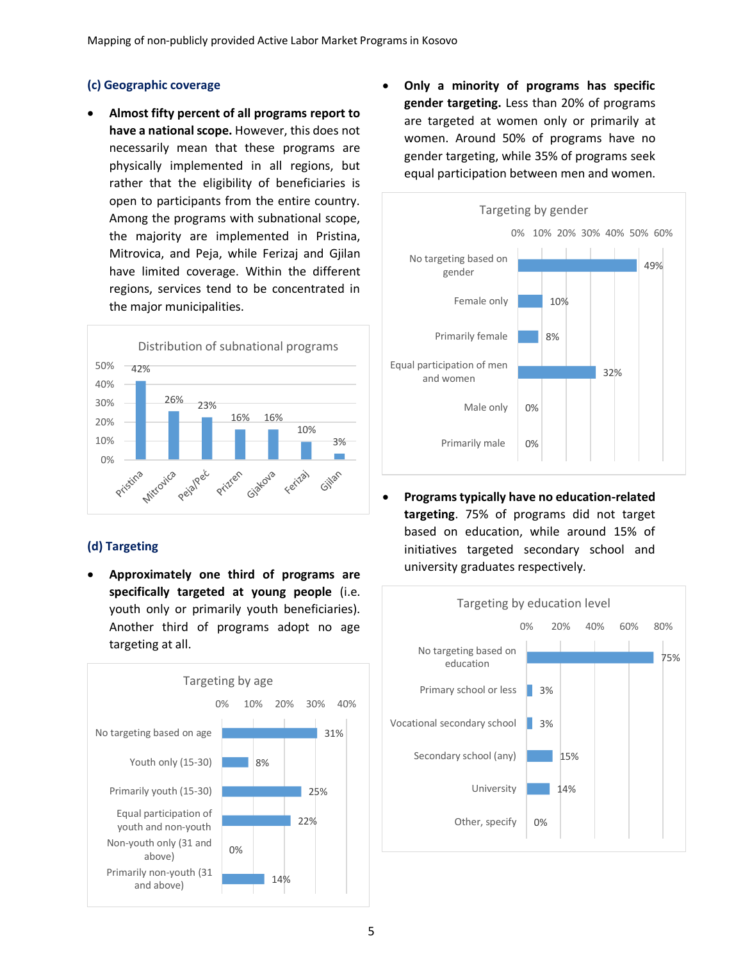## **(c) Geographic coverage**

• **Almost fifty percent of all programs report to have a national scope.** However, this does not necessarily mean that these programs are physically implemented in all regions, but rather that the eligibility of beneficiaries is open to participants from the entire country. Among the programs with subnational scope, the majority are implemented in Pristina, Mitrovica, and Peja, while Ferizaj and Gjilan have limited coverage. Within the different regions, services tend to be concentrated in the major municipalities.



## **(d) Targeting**

• **Approximately one third of programs are specifically targeted at young people** (i.e. youth only or primarily youth beneficiaries). Another third of programs adopt no age targeting at all.



• **Only a minority of programs has specific gender targeting.** Less than 20% of programs are targeted at women only or primarily at women. Around 50% of programs have no gender targeting, while 35% of programs seek equal participation between men and women.



• **Programstypically have no education-related targeting**. 75% of programs did not target based on education, while around 15% of initiatives targeted secondary school and university graduates respectively.

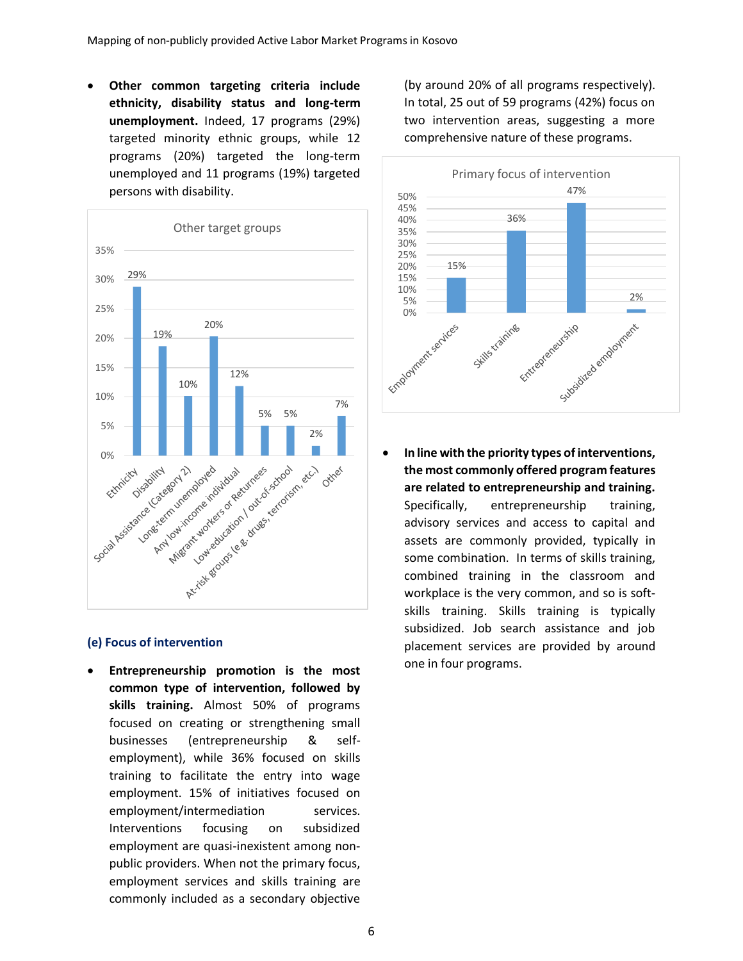• **Other common targeting criteria include ethnicity, disability status and long-term unemployment.** Indeed, 17 programs (29%) targeted minority ethnic groups, while 12 programs (20%) targeted the long-term unemployed and 11 programs (19%) targeted persons with disability.



#### **(e) Focus of intervention**

• **Entrepreneurship promotion is the most common type of intervention, followed by skills training.** Almost 50% of programs focused on creating or strengthening small businesses (entrepreneurship & selfemployment), while 36% focused on skills training to facilitate the entry into wage employment. 15% of initiatives focused on employment/intermediation services. Interventions focusing on subsidized employment are quasi-inexistent among nonpublic providers. When not the primary focus, employment services and skills training are commonly included as a secondary objective

(by around 20% of all programs respectively). In total, 25 out of 59 programs (42%) focus on two intervention areas, suggesting a more comprehensive nature of these programs.



• **In line with the priority types of interventions, the most commonly offered program features are related to entrepreneurship and training.**  Specifically, entrepreneurship training, advisory services and access to capital and assets are commonly provided, typically in some combination. In terms of skills training, combined training in the classroom and workplace is the very common, and so is softskills training. Skills training is typically subsidized. Job search assistance and job placement services are provided by around one in four programs.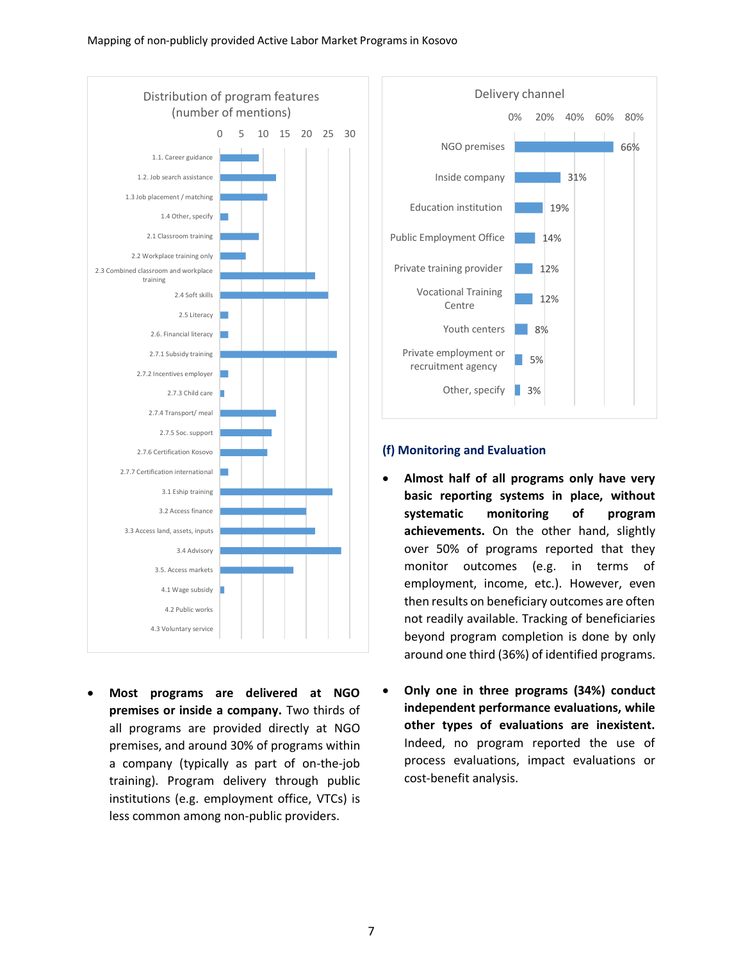

• **Most programs are delivered at NGO premises or inside a company.** Two thirds of all programs are provided directly at NGO premises, and around 30% of programs within a company (typically as part of on-the-job training). Program delivery through public institutions (e.g. employment office, VTCs) is less common among non-public providers.



#### **(f) Monitoring and Evaluation**

- **Almost half of all programs only have very basic reporting systems in place, without systematic monitoring of program achievements.** On the other hand, slightly over 50% of programs reported that they monitor outcomes (e.g. in terms of employment, income, etc.). However, even then results on beneficiary outcomes are often not readily available. Tracking of beneficiaries beyond program completion is done by only around one third (36%) of identified programs.
- **Only one in three programs (34%) conduct independent performance evaluations, while other types of evaluations are inexistent.**  Indeed, no program reported the use of process evaluations, impact evaluations or cost-benefit analysis.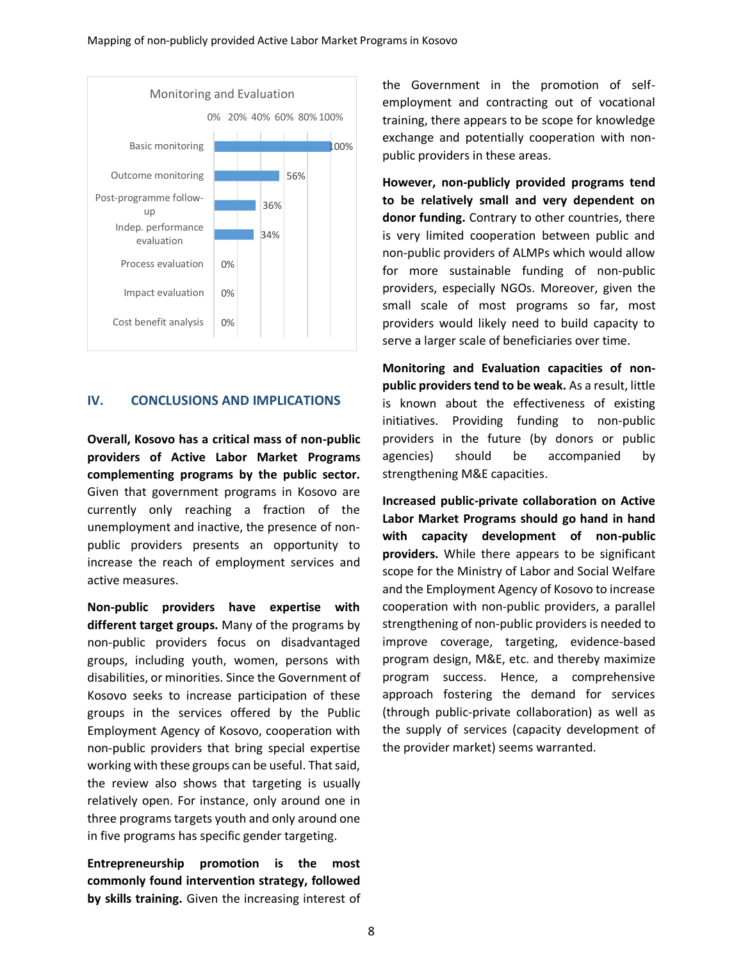

#### **IV. CONCLUSIONS AND IMPLICATIONS**

**Overall, Kosovo has a critical mass of non-public providers of Active Labor Market Programs complementing programs by the public sector.** Given that government programs in Kosovo are currently only reaching a fraction of the unemployment and inactive, the presence of nonpublic providers presents an opportunity to increase the reach of employment services and active measures.

**Non-public providers have expertise with different target groups.** Many of the programs by non-public providers focus on disadvantaged groups, including youth, women, persons with disabilities, or minorities. Since the Government of Kosovo seeks to increase participation of these groups in the services offered by the Public Employment Agency of Kosovo, cooperation with non-public providers that bring special expertise working with these groups can be useful. That said, the review also shows that targeting is usually relatively open. For instance, only around one in three programs targets youth and only around one in five programs has specific gender targeting.

**Entrepreneurship promotion is the most commonly found intervention strategy, followed by skills training.** Given the increasing interest of the Government in the promotion of selfemployment and contracting out of vocational training, there appears to be scope for knowledge exchange and potentially cooperation with nonpublic providers in these areas.

**However, non-publicly provided programs tend to be relatively small and very dependent on donor funding.** Contrary to other countries, there is very limited cooperation between public and non-public providers of ALMPs which would allow for more sustainable funding of non-public providers, especially NGOs. Moreover, given the small scale of most programs so far, most providers would likely need to build capacity to serve a larger scale of beneficiaries over time.

**Monitoring and Evaluation capacities of nonpublic providers tend to be weak.** As a result, little is known about the effectiveness of existing initiatives. Providing funding to non-public providers in the future (by donors or public agencies) should be accompanied by strengthening M&E capacities.

**Increased public-private collaboration on Active Labor Market Programs should go hand in hand with capacity development of non-public providers.** While there appears to be significant scope for the Ministry of Labor and Social Welfare and the Employment Agency of Kosovo to increase cooperation with non-public providers, a parallel strengthening of non-public providers is needed to improve coverage, targeting, evidence-based program design, M&E, etc. and thereby maximize program success. Hence, a comprehensive approach fostering the demand for services (through public-private collaboration) as well as the supply of services (capacity development of the provider market) seems warranted.